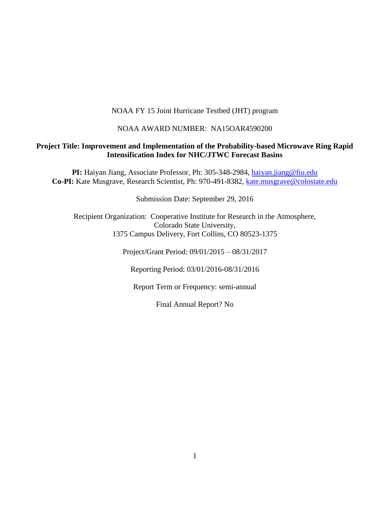# NOAA FY 15 Joint Hurricane Testbed (JHT) program

#### NOAA AWARD NUMBER: NA15OAR4590200

## **Project Title: Improvement and Implementation of the Probability-based Microwave Ring Rapid Intensification Index for NHC/JTWC Forecast Basins**

**PI:** Haiyan Jiang, Associate Professor, Ph: 305-348-2984, [haiyan.jiang@fiu.edu](mailto:h.jiang@utah.edu) **Co-PI:** Kate Musgrave, Research Scientist, Ph: 970-491-8382, [kate.musgrave@colostate.edu](mailto:kate.musgrave@colostate.edu)

Submission Date: September 29, 2016

Recipient Organization: Cooperative Institute for Research in the Atmosphere, Colorado State University, 1375 Campus Delivery, Fort Collins, CO 80523-1375

Project/Grant Period: 09/01/2015 – 08/31/2017

Reporting Period: 03/01/2016-08/31/2016

Report Term or Frequency: semi-annual

Final Annual Report? No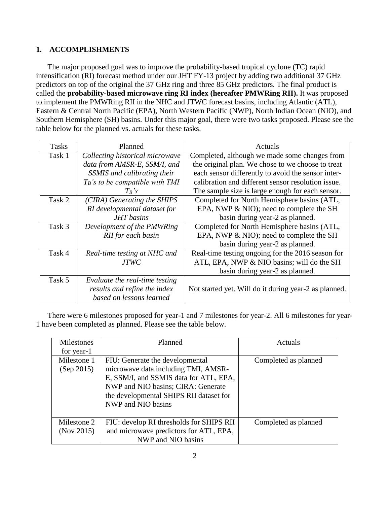# **1. ACCOMPLISHMENTS**

The major proposed goal was to improve the probability-based tropical cyclone (TC) rapid intensification (RI) forecast method under our JHT FY-13 project by adding two additional 37 GHz predictors on top of the original the 37 GHz ring and three 85 GHz predictors. The final product is called the **probability-based microwave ring RI index (hereafter PMWRing RII).** It was proposed to implement the PMWRing RII in the NHC and JTWC forecast basins, including Atlantic (ATL), Eastern & Central North Pacific (EPA), North Western Pacific (NWP), North Indian Ocean (NIO), and Southern Hemisphere (SH) basins. Under this major goal, there were two tasks proposed. Please see the table below for the planned vs. actuals for these tasks.

| <b>Tasks</b> | Planned                            | Actuals                                               |
|--------------|------------------------------------|-------------------------------------------------------|
| Task 1       | Collecting historical microwave    | Completed, although we made some changes from         |
|              | data from AMSR-E, SSM/I, and       | the original plan. We chose to we choose to treat     |
|              | SSMIS and calibrating their        | each sensor differently to avoid the sensor inter-    |
|              | $T_B$ 's to be compatible with TMI | calibration and different sensor resolution issue.    |
|              | $T_B$ 's                           | The sample size is large enough for each sensor.      |
| Task 2       | (CIRA) Generating the SHIPS        | Completed for North Hemisphere basins (ATL,           |
|              | RI developmental dataset for       | EPA, NWP & NIO); need to complete the SH              |
|              | <b>JHT</b> basins                  | basin during year-2 as planned.                       |
| Task 3       | Development of the PMWRing         | Completed for North Hemisphere basins (ATL,           |
|              | RII for each basin                 | EPA, NWP & NIO); need to complete the SH              |
|              |                                    | basin during year-2 as planned.                       |
| Task 4       | Real-time testing at NHC and       | Real-time testing ongoing for the 2016 season for     |
|              | <i>JTWC</i>                        | ATL, EPA, NWP & NIO basins; will do the SH            |
|              |                                    | basin during year-2 as planned.                       |
| Task 5       | Evaluate the real-time testing     |                                                       |
|              | results and refine the index       | Not started yet. Will do it during year-2 as planned. |
|              | based on lessons learned           |                                                       |

There were 6 milestones proposed for year-1 and 7 milestones for year-2. All 6 milestones for year-1 have been completed as planned. Please see the table below.

| <b>Milestones</b>                                 | Planned                                  | Actuals              |
|---------------------------------------------------|------------------------------------------|----------------------|
| for year-1                                        |                                          |                      |
| Milestone 1                                       | FIU: Generate the developmental          | Completed as planned |
| microwave data including TMI, AMSR-<br>(Sep 2015) |                                          |                      |
|                                                   | E, SSM/I, and SSMIS data for ATL, EPA,   |                      |
|                                                   | NWP and NIO basins; CIRA: Generate       |                      |
|                                                   | the developmental SHIPS RII dataset for  |                      |
|                                                   | NWP and NIO basins                       |                      |
|                                                   |                                          |                      |
| Milestone 2                                       | FIU: develop RI thresholds for SHIPS RII | Completed as planned |
| (Nov 2015)                                        | and microwave predictors for ATL, EPA,   |                      |
|                                                   | NWP and NIO basins                       |                      |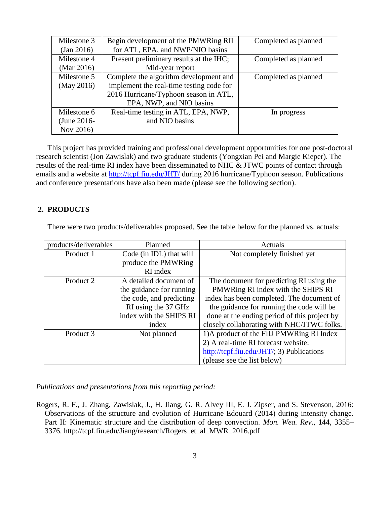| Milestone 3   | Begin development of the PMWRing RII     | Completed as planned |
|---------------|------------------------------------------|----------------------|
| (Jan 2016)    | for ATL, EPA, and NWP/NIO basins         |                      |
| Milestone 4   | Present preliminary results at the IHC;  | Completed as planned |
| (Mar $2016$ ) | Mid-year report                          |                      |
| Milestone 5   | Complete the algorithm development and   | Completed as planned |
| (May 2016)    | implement the real-time testing code for |                      |
|               | 2016 Hurricane/Typhoon season in ATL,    |                      |
|               | EPA, NWP, and NIO basins                 |                      |
| Milestone 6   | Real-time testing in ATL, EPA, NWP,      | In progress          |
| (June 2016-   | and NIO basins                           |                      |
| Nov 2016)     |                                          |                      |

This project has provided training and professional development opportunities for one post-doctoral research scientist (Jon Zawislak) and two graduate students (Yongxian Pei and Margie Kieper). The results of the real-time RI index have been disseminated to NHC & JTWC points of contact through emails and a website at<http://tcpf.fiu.edu/JHT/> during 2016 hurricane/Typhoon season. Publications and conference presentations have also been made (please see the following section).

### **2. PRODUCTS**

There were two products/deliverables proposed. See the table below for the planned vs. actuals:

| products/deliverables | Planned                  | Actuals                                      |
|-----------------------|--------------------------|----------------------------------------------|
| Product 1             | Code (in IDL) that will  | Not completely finished yet                  |
|                       | produce the PMWRing      |                                              |
|                       | RI index                 |                                              |
| Product 2             | A detailed document of   | The document for predicting RI using the     |
|                       | the guidance for running | PMWRing RI index with the SHIPS RI           |
|                       | the code, and predicting | index has been completed. The document of    |
|                       | RI using the 37 GHz      | the guidance for running the code will be    |
|                       | index with the SHIPS RI  | done at the ending period of this project by |
|                       | index                    | closely collaborating with NHC/JTWC folks.   |
| Product 3             | Not planned              | 1) A product of the FIU PMWRing RI Index     |
|                       |                          | 2) A real-time RI forecast website:          |
|                       |                          | http://tcpf.fiu.edu/JHT/; 3) Publications    |
|                       |                          | (please see the list below)                  |

*Publications and presentations from this reporting period:*

Rogers, R. F., J. Zhang, Zawislak, J., H. Jiang, G. R. Alvey III, E. J. Zipser, and S. Stevenson, 2016: Observations of the structure and evolution of Hurricane Edouard (2014) during intensity change. Part II: Kinematic structure and the distribution of deep convection. *Mon. Wea. Rev*., **144**, 3355– 3376. http://tcpf.fiu.edu/Jiang/research/Rogers\_et\_al\_MWR\_2016.pdf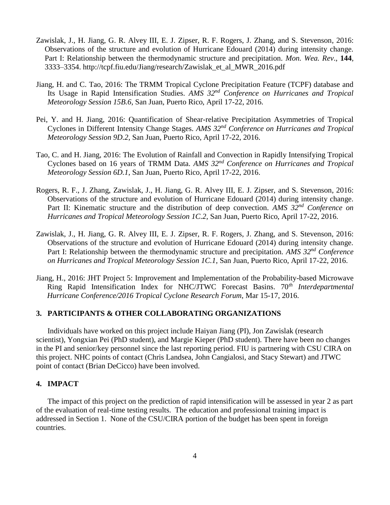- Zawislak, J., H. Jiang, G. R. Alvey III, E. J. Zipser, R. F. Rogers, J. Zhang, and S. Stevenson, 2016: Observations of the structure and evolution of Hurricane Edouard (2014) during intensity change. Part I: Relationship between the thermodynamic structure and precipitation. *Mon. Wea. Rev*., **144**, 3333–3354. http://tcpf.fiu.edu/Jiang/research/Zawislak\_et\_al\_MWR\_2016.pdf
- Jiang, H. and C. Tao, 2016: The TRMM Tropical Cyclone Precipitation Feature (TCPF) database and Its Usage in Rapid Intensification Studies. *AMS 32nd Conference on Hurricanes and Tropical Meteorology Session 15B.6*, San Juan, Puerto Rico, April 17-22, 2016.
- Pei, Y. and H. Jiang, 2016: Quantification of Shear-relative Precipitation Asymmetries of Tropical Cyclones in Different Intensity Change Stages. *AMS 32nd Conference on Hurricanes and Tropical Meteorology Session 9D.2*, San Juan, Puerto Rico, April 17-22, 2016.
- Tao, C. and H. Jiang, 2016: The Evolution of Rainfall and Convection in Rapidly Intensifying Tropical Cyclones based on 16 years of TRMM Data. *AMS 32nd Conference on Hurricanes and Tropical Meteorology Session 6D.1*, San Juan, Puerto Rico, April 17-22, 2016.
- Rogers, R. F., J. Zhang, Zawislak, J., H. Jiang, G. R. Alvey III, E. J. Zipser, and S. Stevenson, 2016: Observations of the structure and evolution of Hurricane Edouard (2014) during intensity change. Part II: Kinematic structure and the distribution of deep convection. *AMS 32nd Conference on Hurricanes and Tropical Meteorology Session 1C.2*, San Juan, Puerto Rico, April 17-22, 2016.
- Zawislak, J., H. Jiang, G. R. Alvey III, E. J. Zipser, R. F. Rogers, J. Zhang, and S. Stevenson, 2016: Observations of the structure and evolution of Hurricane Edouard (2014) during intensity change. Part I: Relationship between the thermodynamic structure and precipitation. *AMS 32nd Conference on Hurricanes and Tropical Meteorology Session 1C.1*, San Juan, Puerto Rico, April 17-22, 2016.
- Jiang, H., 2016: JHT Project 5: Improvement and Implementation of the Probability-based Microwave Ring Rapid Intensification Index for NHC/JTWC Forecast Basins. 70*th Interdepartmental Hurricane Conference/2016 Tropical Cyclone Research Forum*, Mar 15-17, 2016.

# **3. PARTICIPANTS & OTHER COLLABORATING ORGANIZATIONS**

Individuals have worked on this project include Haiyan Jiang (PI), Jon Zawislak (research scientist), Yongxian Pei (PhD student), and Margie Kieper (PhD student). There have been no changes in the PI and senior/key personnel since the last reporting period. FIU is partnering with CSU CIRA on this project. NHC points of contact (Chris Landsea, John Cangialosi, and Stacy Stewart) and JTWC point of contact (Brian DeCicco) have been involved.

### **4. IMPACT**

The impact of this project on the prediction of rapid intensification will be assessed in year 2 as part of the evaluation of real-time testing results. The education and professional training impact is addressed in Section 1. None of the CSU/CIRA portion of the budget has been spent in foreign countries.